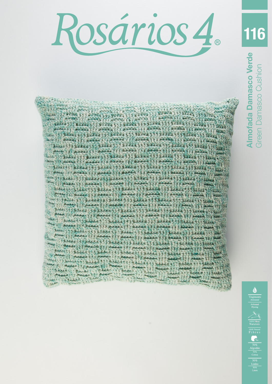Rosários 4.